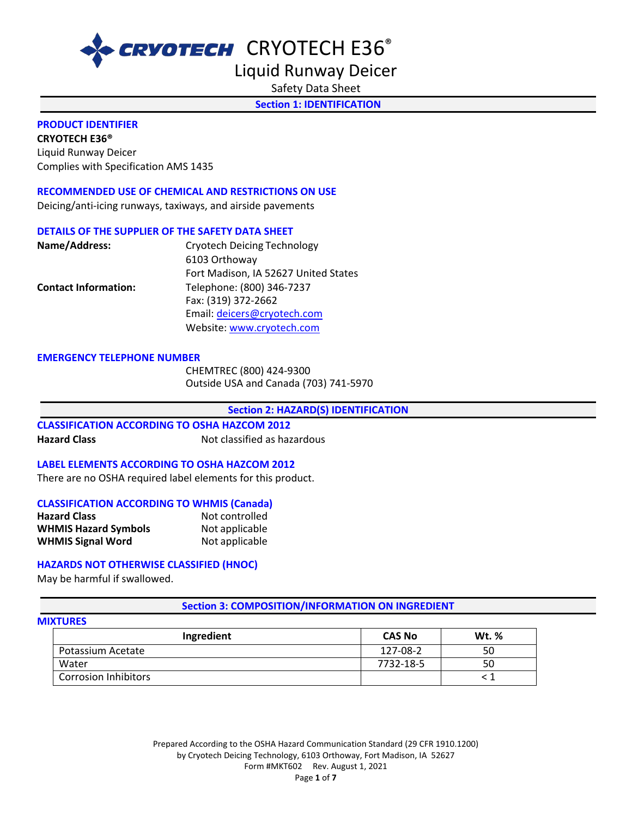

Liquid Runway Deicer

Safety Data Sheet

**Section 1: IDENTIFICATION** 

#### **PRODUCT IDENTIFIER**

**CRYOTECH E36®** Liquid Runway Deicer Complies with Specification AMS 1435

#### **RECOMMENDED USE OF CHEMICAL AND RESTRICTIONS ON USE**

Deicing/anti-icing runways, taxiways, and airside pavements

#### **DETAILS OF THE SUPPLIER OF THE SAFETY DATA SHEET**

| Name/Address:               | <b>Cryotech Deicing Technology</b>   |
|-----------------------------|--------------------------------------|
|                             | 6103 Orthoway                        |
|                             | Fort Madison, IA 52627 United States |
| <b>Contact Information:</b> | Telephone: (800) 346-7237            |
|                             | Fax: (319) 372-2662                  |
|                             | Email: deicers@cryotech.com          |
|                             | Website: www.cryotech.com            |

#### **EMERGENCY TELEPHONE NUMBER**

CHEMTREC (800) 424-9300 Outside USA and Canada (703) 741-5970

**Section 2: HAZARD(S) IDENTIFICATION** 

**CLASSIFICATION ACCORDING TO OSHA HAZCOM 2012 Hazard Class Not classified as hazardous** 

#### **LABEL ELEMENTS ACCORDING TO OSHA HAZCOM 2012**

There are no OSHA required label elements for this product.

#### **CLASSIFICATION ACCORDING TO WHMIS (Canada)**

| <b>Hazard Class</b>         | Not controlled |
|-----------------------------|----------------|
| <b>WHMIS Hazard Symbols</b> | Not applicable |
| <b>WHMIS Signal Word</b>    | Not applicable |

#### **HAZARDS NOT OTHERWISE CLASSIFIED (HNOC)**

May be harmful if swallowed.

**Section 3: COMPOSITION/INFORMATION ON INGREDIENT** 

### **MIXTURES Ingredient CAS No Wt. %** Potassium Acetate 127-08-2 and 127-08-2 solution of the 127-08-2 solution of the 127-08-2 solution of the 127-08-2 solution of the 127-08-2 solution of the 127-08-2 solution of the 127-08-2 solution of the 127-08-2 solutio Water 2012 - 2022 - 2022 - 2022 - 2022 - 2022 - 2022 - 2022 - 2022 - 2022 - 2023 - 2022 - 2022 - 202 Corrosion Inhibitors < 1

Prepared According to the OSHA Hazard Communication Standard (29 CFR 1910.1200) by Cryotech Deicing Technology, 6103 Orthoway, Fort Madison, IA 52627 Form #MKT602 Rev. August 1, 2021 Page **1** of **7**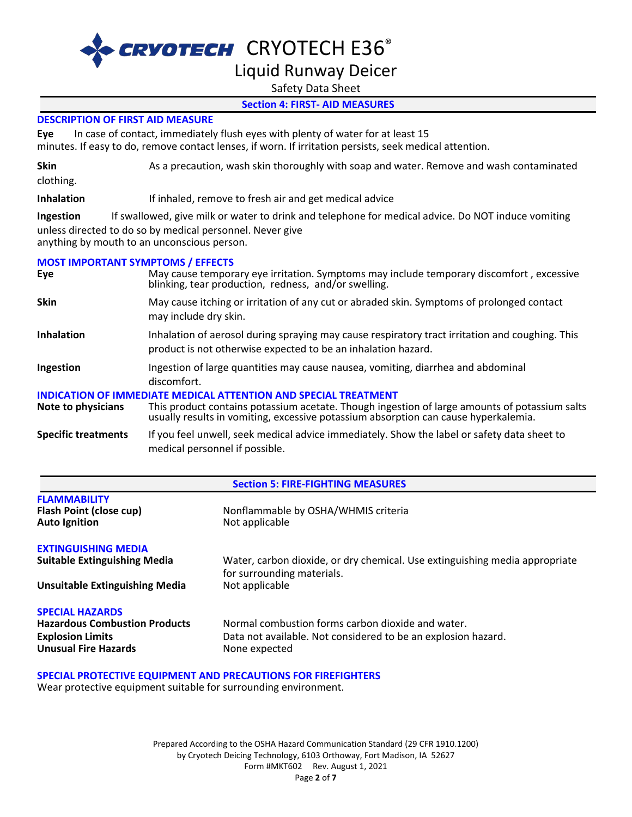# Liquid Runway Deicer

Safety Data Sheet

#### **Section 4: FIRST- AID MEASURES**

#### **DESCRIPTION OF FIRST AID MEASURE**

**Eye** In case of contact, immediately flush eyes with plenty of water for at least 15 minutes. If easy to do, remove contact lenses, if worn. If irritation persists, seek medical attention.

**Skin** As a precaution, wash skin thoroughly with soap and water. Remove and wash contaminated

clothing.

**Inhalation** If inhaled, remove to fresh air and get medical advice

**Ingestion** If swallowed, give milk or water to drink and telephone for medical advice. Do NOT induce vomiting unless directed to do so by medical personnel. Never give anything by mouth to an unconscious person.

#### **MOST IMPORTANT SYMPTOMS / EFFECTS**

| Eye                        | May cause temporary eye irritation. Symptoms may include temporary discomfort, excessive<br>blinking, tear production, redness, and/or swelling.                                                                                                               |
|----------------------------|----------------------------------------------------------------------------------------------------------------------------------------------------------------------------------------------------------------------------------------------------------------|
| <b>Skin</b>                | May cause itching or irritation of any cut or abraded skin. Symptoms of prolonged contact<br>may include dry skin.                                                                                                                                             |
| <b>Inhalation</b>          | Inhalation of aerosol during spraying may cause respiratory tract irritation and coughing. This<br>product is not otherwise expected to be an inhalation hazard.                                                                                               |
| Ingestion                  | Ingestion of large quantities may cause nausea, vomiting, diarrhea and abdominal<br>discomfort.                                                                                                                                                                |
| Note to physicians         | <u>INDICATION OF IMMEDIATE MEDICAL ATTENTION AND SPECIAL TREATMENT</u><br>This product contains potassium acetate. Though ingestion of large amounts of potassium salts<br>usually results in vomiting, excessive potassium absorption can cause hyperkalemia. |
| <b>Specific treatments</b> | If you feel unwell, seek medical advice immediately. Show the label or safety data sheet to                                                                                                                                                                    |

medical personnel if possible.

#### **Section 5: FIRE-FIGHTING MEASURES**

| <b>FLAMMABILITY</b><br><b>Flash Point (close cup)</b><br><b>Auto Ignition</b>                                            | Nonflammable by OSHA/WHMIS criteria<br>Not applicable                                                                               |
|--------------------------------------------------------------------------------------------------------------------------|-------------------------------------------------------------------------------------------------------------------------------------|
| <b>EXTINGUISHING MEDIA</b><br><b>Suitable Extinguishing Media</b>                                                        | Water, carbon dioxide, or dry chemical. Use extinguishing media appropriate                                                         |
| Unsuitable Extinguishing Media                                                                                           | for surrounding materials.<br>Not applicable                                                                                        |
| <b>SPECIAL HAZARDS</b><br><b>Hazardous Combustion Products</b><br><b>Explosion Limits</b><br><b>Unusual Fire Hazards</b> | Normal combustion forms carbon dioxide and water.<br>Data not available. Not considered to be an explosion hazard.<br>None expected |

#### **SPECIAL PROTECTIVE EQUIPMENT AND PRECAUTIONS FOR FIREFIGHTERS**

Wear protective equipment suitable for surrounding environment.

Prepared According to the OSHA Hazard Communication Standard (29 CFR 1910.1200) by Cryotech Deicing Technology, 6103 Orthoway, Fort Madison, IA 52627 Form #MKT602 Rev. August 1, 2021 Page **2** of **7**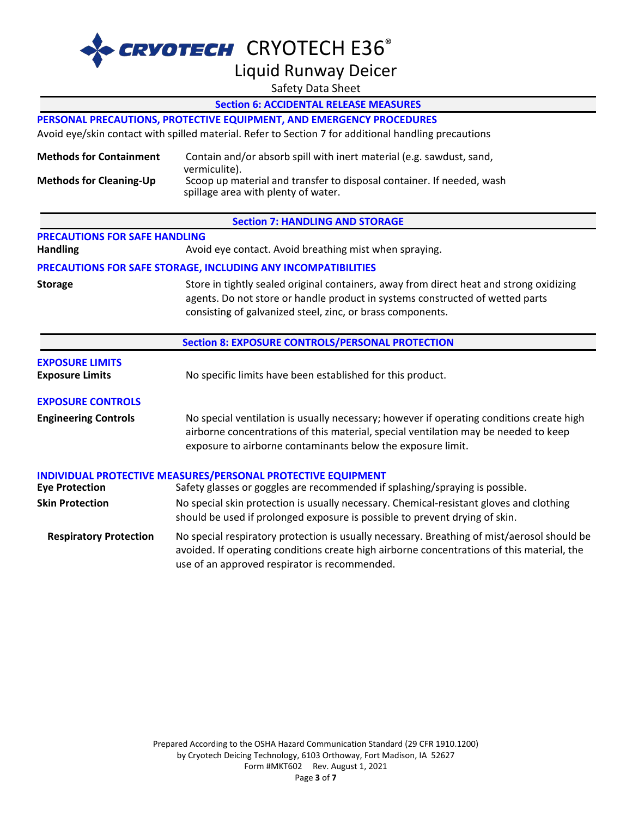# Liquid Runway Deicer

Safety Data Sheet

|                                                                                                                                                                                                                                                          | <b>Section 6: ACCIDENTAL RELEASE MEASURES</b>                                                                                                                                                                                                  |  |
|----------------------------------------------------------------------------------------------------------------------------------------------------------------------------------------------------------------------------------------------------------|------------------------------------------------------------------------------------------------------------------------------------------------------------------------------------------------------------------------------------------------|--|
| PERSONAL PRECAUTIONS, PROTECTIVE EQUIPMENT, AND EMERGENCY PROCEDURES                                                                                                                                                                                     |                                                                                                                                                                                                                                                |  |
|                                                                                                                                                                                                                                                          | Avoid eye/skin contact with spilled material. Refer to Section 7 for additional handling precautions                                                                                                                                           |  |
| <b>Methods for Containment</b>                                                                                                                                                                                                                           | Contain and/or absorb spill with inert material (e.g. sawdust, sand,<br>vermiculite).                                                                                                                                                          |  |
| <b>Methods for Cleaning-Up</b>                                                                                                                                                                                                                           | Scoop up material and transfer to disposal container. If needed, wash<br>spillage area with plenty of water.                                                                                                                                   |  |
|                                                                                                                                                                                                                                                          | <b>Section 7: HANDLING AND STORAGE</b>                                                                                                                                                                                                         |  |
| <b>PRECAUTIONS FOR SAFE HANDLING</b>                                                                                                                                                                                                                     |                                                                                                                                                                                                                                                |  |
| <b>Handling</b>                                                                                                                                                                                                                                          | Avoid eye contact. Avoid breathing mist when spraying.                                                                                                                                                                                         |  |
|                                                                                                                                                                                                                                                          | PRECAUTIONS FOR SAFE STORAGE, INCLUDING ANY INCOMPATIBILITIES                                                                                                                                                                                  |  |
| Store in tightly sealed original containers, away from direct heat and strong oxidizing<br><b>Storage</b><br>agents. Do not store or handle product in systems constructed of wetted parts<br>consisting of galvanized steel, zinc, or brass components. |                                                                                                                                                                                                                                                |  |
|                                                                                                                                                                                                                                                          | <b>Section 8: EXPOSURE CONTROLS/PERSONAL PROTECTION</b>                                                                                                                                                                                        |  |
| <b>EXPOSURE LIMITS</b><br><b>Exposure Limits</b>                                                                                                                                                                                                         | No specific limits have been established for this product.                                                                                                                                                                                     |  |
| <b>EXPOSURE CONTROLS</b>                                                                                                                                                                                                                                 |                                                                                                                                                                                                                                                |  |
| <b>Engineering Controls</b>                                                                                                                                                                                                                              | No special ventilation is usually necessary; however if operating conditions create high<br>airborne concentrations of this material, special ventilation may be needed to keep<br>exposure to airborne contaminants below the exposure limit. |  |
| <b>Eye Protection</b>                                                                                                                                                                                                                                    | <b>INDIVIDUAL PROTECTIVE MEASURES/PERSONAL PROTECTIVE EQUIPMENT</b><br>Safety glasses or goggles are recommended if splashing/spraying is possible.                                                                                            |  |
|                                                                                                                                                                                                                                                          |                                                                                                                                                                                                                                                |  |
| <b>Skin Protection</b>                                                                                                                                                                                                                                   | No special skin protection is usually necessary. Chemical-resistant gloves and clothing<br>should be used if prolonged exposure is possible to prevent drying of skin.                                                                         |  |
| <b>Respiratory Protection</b>                                                                                                                                                                                                                            | No special respiratory protection is usually necessary. Breathing of mist/aerosol should be<br>avoided. If operating conditions create high airborne concentrations of this material, the<br>use of an approved respirator is recommended.     |  |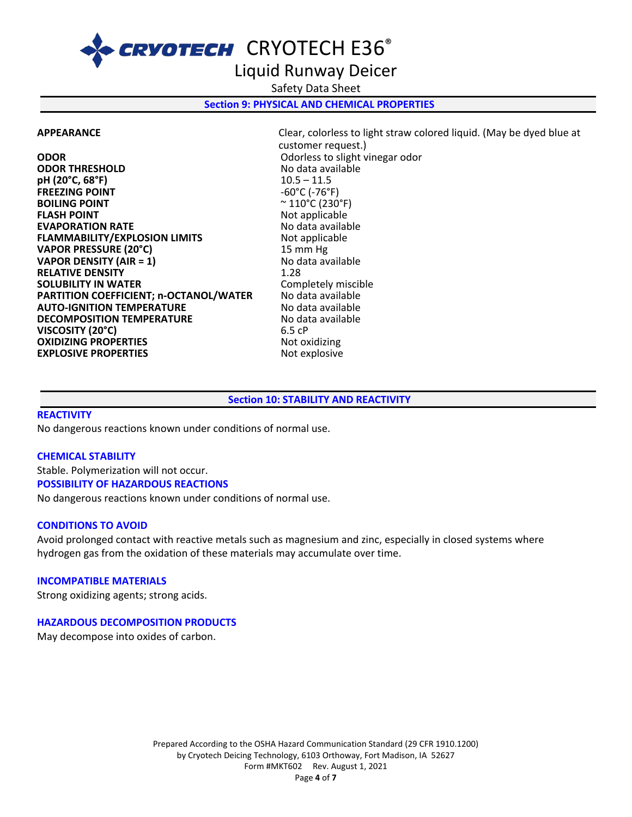## Liquid Runway Deicer

Safety Data Sheet

#### **Section 9: PHYSICAL AND CHEMICAL PROPERTIES**

**ODOR ODOR** Odorless to slight vinegar odor<br> **ODOR THRESHOLD COOR ODOR THRESHOLD ODOR THRESHOLD** No data available **pH (20°C, 68°F)** 10.5 – 11.5 **FREEZING POINT BOILING POINT**  $\sim$  110°C (230°F)<br>**FLASH POINT** Not applicable **EVAPORATION RATE**<br> **FLAMMABILITY/EXPLOSION LIMITS** Not applicable **FLAMMABILITY/EXPLOSION LIMITS** Not applic:<br>
VAPOR PRESSURE (20°C) 15 mm Hg **VAPOR PRESSURE (20°C)** 15 mm Hg **VAPOR DENSITY (AIR = 1) RELATIVE DENSITY**<br> **SOLUBILITY IN WATER**<br> **SOLUBILITY IN WATER**<br> **SOLUBILITY IN WATER SOLUBILITY IN WATER** Completely miscil Completely miscil Completely miscil PARTITION COEFFICIENT; n-OCTANOL/WATER No data available **PARTITION COEFFICIENT; n-OCTANOL/WATER AUTO-IGNITION TEMPERATURE AUTO-IGNITION TEMPERATURE**<br> **DECOMPOSITION TEMPERATURE** No data available **DECOMPOSITION TEMPERATURE 1999 MILLION CONTRATURE**<br>**VISCOSITY (20°C)** 6.5 cP **VISCOSITY (20°C) OXIDIZING PROPERTIES** Not oxidizing **EXPLOSIVE PROPERTIES** Not explosive

**APPEARANCE** Clear, colorless to light straw colored liquid. (May be dyed blue at customer request.) **Not applicable<br>No data available** 

#### **Section 10: STABILITY AND REACTIVITY**

#### **REACTIVITY**

No dangerous reactions known under conditions of normal use.

#### **CHEMICAL STABILITY**

Stable. Polymerization will not occur. **POSSIBILITY OF HAZARDOUS REACTIONS** No dangerous reactions known under conditions of normal use.

#### **CONDITIONS TO AVOID**

Avoid prolonged contact with reactive metals such as magnesium and zinc, especially in closed systems where hydrogen gas from the oxidation of these materials may accumulate over time.

#### **INCOMPATIBLE MATERIALS**

Strong oxidizing agents; strong acids.

#### **HAZARDOUS DECOMPOSITION PRODUCTS**

May decompose into oxides of carbon.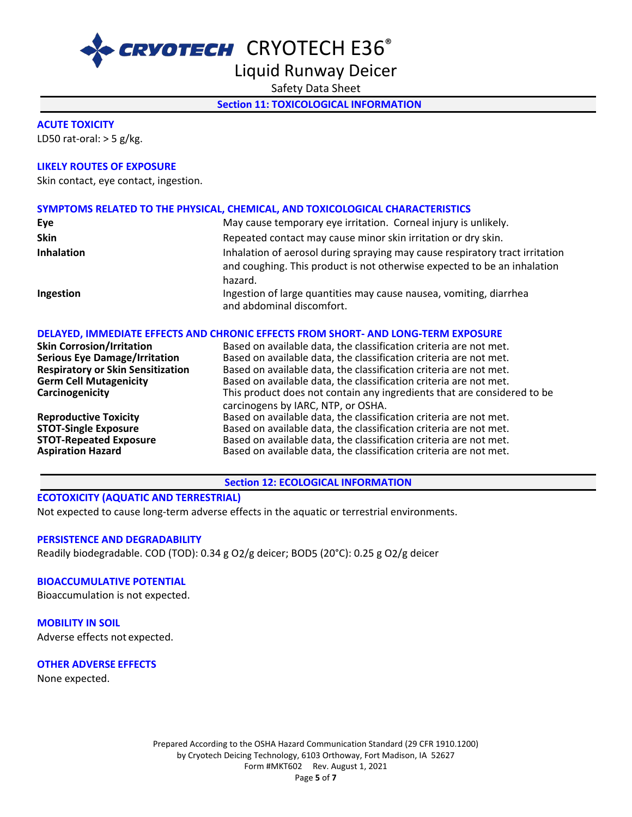Liquid Runway Deicer

Safety Data Sheet

**Section 11: TOXICOLOGICAL INFORMATION** 

#### **ACUTE TOXICITY**

LD50 rat-oral:  $>$  5 g/kg.

#### **LIKELY ROUTES OF EXPOSURE**

Skin contact, eye contact, ingestion.

#### **SYMPTOMS RELATED TO THE PHYSICAL, CHEMICAL, AND TOXICOLOGICAL CHARACTERISTICS**

| Eye               | May cause temporary eye irritation. Corneal injury is unlikely.                                                                                                     |
|-------------------|---------------------------------------------------------------------------------------------------------------------------------------------------------------------|
| <b>Skin</b>       | Repeated contact may cause minor skin irritation or dry skin.                                                                                                       |
| <b>Inhalation</b> | Inhalation of aerosol during spraying may cause respiratory tract irritation<br>and coughing. This product is not otherwise expected to be an inhalation<br>hazard. |
| Ingestion         | Ingestion of large quantities may cause nausea, vomiting, diarrhea<br>and abdominal discomfort.                                                                     |

#### **DELAYED, IMMEDIATE EFFECTS AND CHRONIC EFFECTS FROM SHORT- AND LONG-TERM EXPOSURE**

| <b>Skin Corrosion/Irritation</b>         | Based on available data, the classification criteria are not met.       |
|------------------------------------------|-------------------------------------------------------------------------|
| <b>Serious Eye Damage/Irritation</b>     | Based on available data, the classification criteria are not met.       |
| <b>Respiratory or Skin Sensitization</b> | Based on available data, the classification criteria are not met.       |
| <b>Germ Cell Mutagenicity</b>            | Based on available data, the classification criteria are not met.       |
| Carcinogenicity                          | This product does not contain any ingredients that are considered to be |
|                                          | carcinogens by IARC, NTP, or OSHA.                                      |
| <b>Reproductive Toxicity</b>             | Based on available data, the classification criteria are not met.       |
| <b>STOT-Single Exposure</b>              | Based on available data, the classification criteria are not met.       |
| <b>STOT-Repeated Exposure</b>            | Based on available data, the classification criteria are not met.       |
| <b>Aspiration Hazard</b>                 | Based on available data, the classification criteria are not met.       |

#### **Section 12: ECOLOGICAL INFORMATION**

#### **ECOTOXICITY (AQUATIC AND TERRESTRIAL)**

Not expected to cause long-term adverse effects in the aquatic or terrestrial environments.

#### **PERSISTENCE AND DEGRADABILITY**

Readily biodegradable. COD (TOD): 0.34 g O2/g deicer; BOD5 (20°C): 0.25 g O2/g deicer

#### **BIOACCUMULATIVE POTENTIAL**

Bioaccumulation is not expected.

**MOBILITY IN SOIL** Adverse effects not expected.

#### **OTHER ADVERSE EFFECTS**

None expected.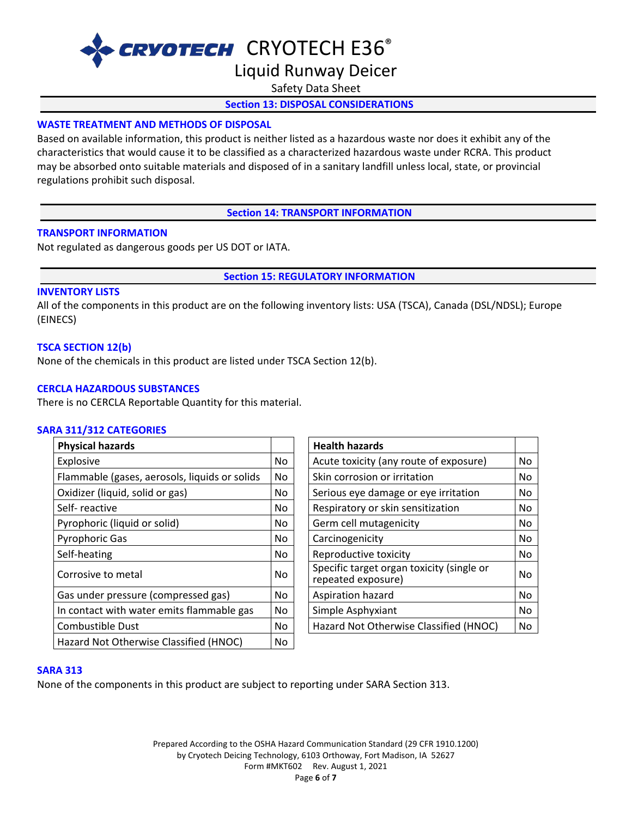# Liquid Runway Deicer

Safety Data Sheet

#### **Section 13: DISPOSAL CONSIDERATIONS**

#### **WASTE TREATMENT AND METHODS OF DISPOSAL**

Based on available information, this product is neither listed as a hazardous waste nor does it exhibit any of the characteristics that would cause it to be classified as a characterized hazardous waste under RCRA. This product may be absorbed onto suitable materials and disposed of in a sanitary landfill unless local, state, or provincial regulations prohibit such disposal.

**Section 14: TRANSPORT INFORMATION**

#### **TRANSPORT INFORMATION**

Not regulated as dangerous goods per US DOT or IATA.

**Section 15: REGULATORY INFORMATION**

#### **INVENTORY LISTS**

All of the components in this product are on the following inventory lists: USA (TSCA), Canada (DSL/NDSL); Europe (EINECS)

#### **TSCA SECTION 12(b)**

None of the chemicals in this product are listed under TSCA Section 12(b).

#### **CERCLA HAZARDOUS SUBSTANCES**

There is no CERCLA Reportable Quantity for this material.

#### **SARA 311/312 CATEGORIES**

| <b>Physical hazards</b>                       |           | <b>Health hazards</b>                                           |    |
|-----------------------------------------------|-----------|-----------------------------------------------------------------|----|
| Explosive                                     | No        | Acute toxicity (any route of exposure)                          | No |
| Flammable (gases, aerosols, liquids or solids | No.       | Skin corrosion or irritation                                    | No |
| Oxidizer (liquid, solid or gas)               | No.       | Serious eye damage or eye irritation                            | No |
| Self-reactive                                 | No        | Respiratory or skin sensitization                               | No |
| Pyrophoric (liquid or solid)                  | No.       | Germ cell mutagenicity                                          | No |
| <b>Pyrophoric Gas</b>                         | No        | Carcinogenicity                                                 | No |
| Self-heating                                  | No        | Reproductive toxicity                                           | No |
| Corrosive to metal                            | No        | Specific target organ toxicity (single or<br>repeated exposure) | No |
| Gas under pressure (compressed gas)           | <b>No</b> | Aspiration hazard                                               | No |
| In contact with water emits flammable gas     | No        | Simple Asphyxiant                                               | No |
| <b>Combustible Dust</b>                       | No        | Hazard Not Otherwise Classified (HNOC)                          | No |
| Hazard Not Otherwise Classified (HNOC)        | No        |                                                                 |    |
|                                               |           |                                                                 |    |

| <b>Health hazards</b>                                           |    |
|-----------------------------------------------------------------|----|
| Acute toxicity (any route of exposure)                          |    |
| Skin corrosion or irritation                                    | No |
| Serious eye damage or eye irritation                            | No |
| Respiratory or skin sensitization                               | No |
| Germ cell mutagenicity                                          |    |
| Carcinogenicity                                                 |    |
| Reproductive toxicity                                           | No |
| Specific target organ toxicity (single or<br>repeated exposure) | No |
| Aspiration hazard                                               | No |
| Simple Asphyxiant                                               | No |
| Hazard Not Otherwise Classified (HNOC)                          |    |

#### **SARA 313**

None of the components in this product are subject to reporting under SARA Section 313.